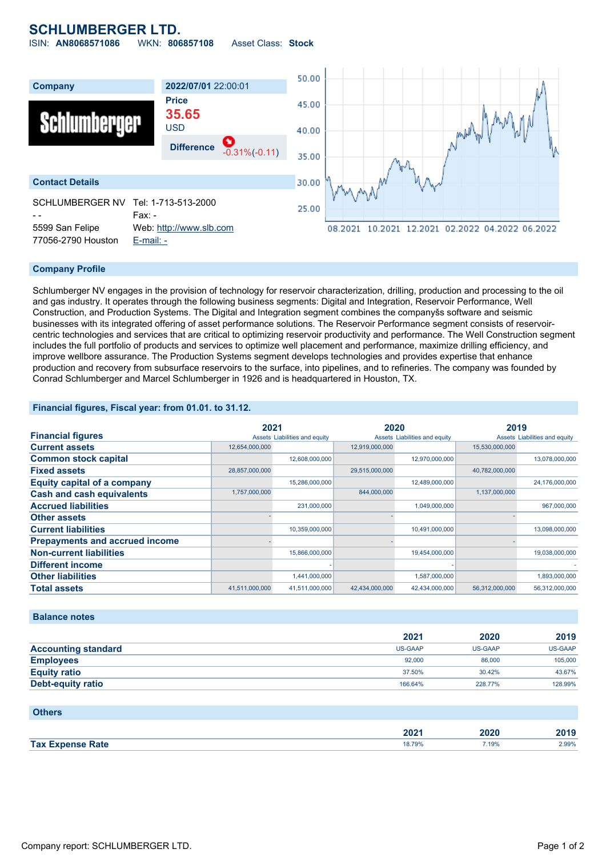## **SCHLUMBERGER LTD.**

ISIN: **AN8068571086** WKN: **806857108** Asset Class: **Stock**



#### **Company Profile**

Schlumberger NV engages in the provision of technology for reservoir characterization, drilling, production and processing to the oil and gas industry. It operates through the following business segments: Digital and Integration, Reservoir Performance, Well Construction, and Production Systems. The Digital and Integration segment combines the companyšs software and seismic businesses with its integrated offering of asset performance solutions. The Reservoir Performance segment consists of reservoircentric technologies and services that are critical to optimizing reservoir productivity and performance. The Well Construction segment includes the full portfolio of products and services to optimize well placement and performance, maximize drilling efficiency, and improve wellbore assurance. The Production Systems segment develops technologies and provides expertise that enhance production and recovery from subsurface reservoirs to the surface, into pipelines, and to refineries. The company was founded by Conrad Schlumberger and Marcel Schlumberger in 1926 and is headquartered in Houston, TX.

#### **Financial figures, Fiscal year: from 01.01. to 31.12.**

|                                       | 2021           |                               | 2020           |                               | 2019           |                               |
|---------------------------------------|----------------|-------------------------------|----------------|-------------------------------|----------------|-------------------------------|
| <b>Financial figures</b>              |                | Assets Liabilities and equity |                | Assets Liabilities and equity |                | Assets Liabilities and equity |
| <b>Current assets</b>                 | 12,654,000,000 |                               | 12,919,000,000 |                               | 15,530,000,000 |                               |
| <b>Common stock capital</b>           |                | 12,608,000,000                |                | 12,970,000,000                |                | 13,078,000,000                |
| <b>Fixed assets</b>                   | 28,857,000,000 |                               | 29,515,000,000 |                               | 40,782,000,000 |                               |
| <b>Equity capital of a company</b>    |                | 15,286,000,000                |                | 12,489,000,000                |                | 24,176,000,000                |
| <b>Cash and cash equivalents</b>      | 1,757,000,000  |                               | 844,000,000    |                               | 1,137,000,000  |                               |
| <b>Accrued liabilities</b>            |                | 231,000,000                   |                | 1,049,000,000                 |                | 967,000,000                   |
| <b>Other assets</b>                   |                |                               |                |                               |                |                               |
| <b>Current liabilities</b>            |                | 10,359,000,000                |                | 10,491,000,000                |                | 13,098,000,000                |
| <b>Prepayments and accrued income</b> |                |                               |                |                               |                |                               |
| <b>Non-current liabilities</b>        |                | 15,866,000,000                |                | 19,454,000,000                |                | 19,038,000,000                |
| <b>Different income</b>               |                |                               |                |                               |                |                               |
| <b>Other liabilities</b>              |                | 1,441,000,000                 |                | 1,587,000,000                 |                | 1,893,000,000                 |
| <b>Total assets</b>                   | 41,511,000,000 | 41,511,000,000                | 42,434,000,000 | 42,434,000,000                | 56,312,000,000 | 56,312,000,000                |

#### **Balance notes**

|                            | 2021    | 2020    | 2019    |
|----------------------------|---------|---------|---------|
| <b>Accounting standard</b> | US-GAAP | US-GAAP | US-GAAP |
| <b>Employees</b>           | 92,000  | 86,000  | 105,000 |
| <b>Equity ratio</b>        | 37.50%  | 30.42%  | 43.67%  |
| <b>Debt-equity ratio</b>   | 166.64% | 228,77% | 128.99% |

#### **Others**

|                              | $\sim$<br>40Z :   | $- - -$<br>20 | $\sim$<br>אחנ<br>40 I J |
|------------------------------|-------------------|---------------|-------------------------|
| <b>Tax E</b><br>____<br>ate? | 18.700<br>10.1370 | 7.19%         | 2.99%<br>.              |